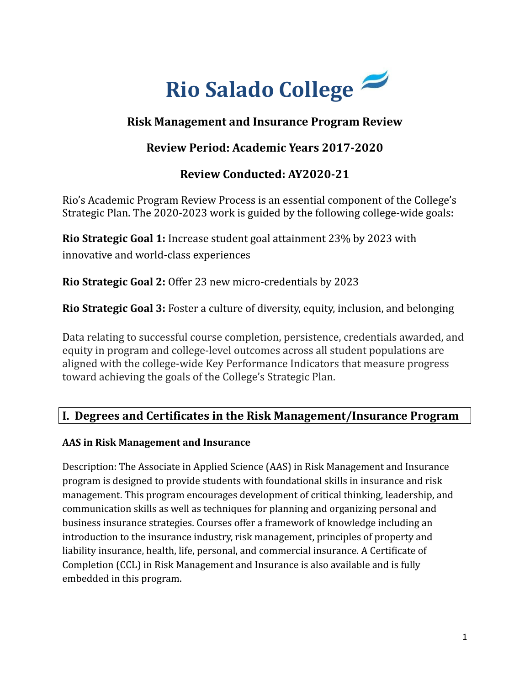

## **Risk Management and Insurance Program Review**

## **Review Period: Academic Years 2017-2020**

## **Review Conducted: AY2020-21**

Rio's Academic Program Review Process is an essential component of the College's Strategic Plan. The 2020-2023 work is guided by the following college-wide goals:

**Rio Strategic Goal 1:** Increase student goal attainment 23% by 2023 with innovative and world-class experiences

**Rio Strategic Goal 2:** Offer 23 new micro-credentials by 2023

**Rio Strategic Goal 3:** Foster a culture of diversity, equity, inclusion, and belonging

Data relating to successful course completion, persistence, credentials awarded, and equity in program and college-level outcomes across all student populations are aligned with the college-wide Key Performance Indicators that measure progress toward achieving the goals of the College's Strategic Plan.

## **I. Degrees and Certificates in the Risk Management/Insurance Program**

### **AAS in Risk Management and Insurance**

Description: The Associate in Applied Science (AAS) in Risk Management and Insurance program is designed to provide students with foundational skills in insurance and risk management. This program encourages development of critical thinking, leadership, and communication skills as well as techniques for planning and organizing personal and business insurance strategies. Courses offer a framework of knowledge including an introduction to the insurance industry, risk management, principles of property and liability insurance, health, life, personal, and commercial insurance. A Certificate of Completion (CCL) in Risk Management and Insurance is also available and is fully embedded in this program.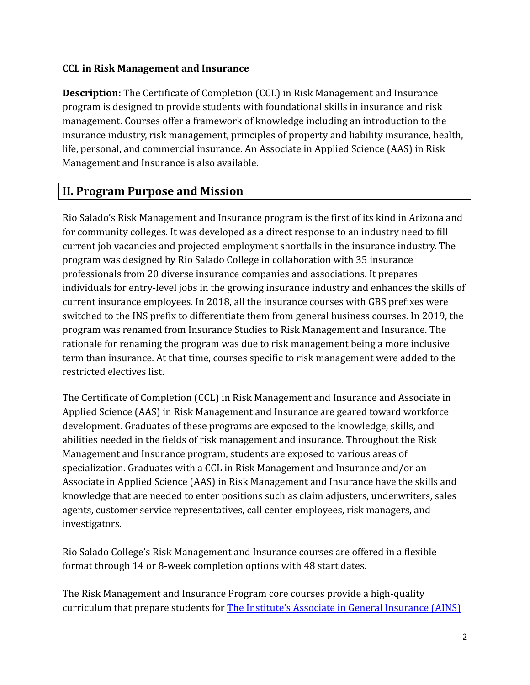#### **CCL in Risk Management and Insurance**

**Description:** The Certificate of Completion (CCL) in Risk Management and Insurance program is designed to provide students with foundational skills in insurance and risk management. Courses offer a framework of knowledge including an introduction to the insurance industry, risk management, principles of property and liability insurance, health, life, personal, and commercial insurance. An Associate in Applied Science (AAS) in Risk Management and Insurance is also available.

## **II. Program Purpose and Mission**

Rio Salado's Risk Management and Insurance program is the first of its kind in Arizona and for community colleges. It was developed as a direct response to an industry need to fill current job vacancies and projected employment shortfalls in the insurance industry. The program was designed by Rio Salado College in collaboration with 35 insurance professionals from 20 diverse insurance companies and associations. It prepares individuals for entry-level jobs in the growing insurance industry and enhances the skills of current insurance employees. In 2018, all the insurance courses with GBS prefixes were switched to the INS prefix to differentiate them from general business courses. In 2019, the program was renamed from Insurance Studies to Risk Management and Insurance. The rationale for renaming the program was due to risk management being a more inclusive term than insurance. At that time, courses specific to risk management were added to the restricted electives list.

The Certificate of Completion (CCL) in Risk Management and Insurance and Associate in Applied Science (AAS) in Risk Management and Insurance are geared toward workforce development. Graduates of these programs are exposed to the knowledge, skills, and abilities needed in the fields of risk management and insurance. Throughout the Risk Management and Insurance program, students are exposed to various areas of specialization. Graduates with a CCL in Risk Management and Insurance and/or an Associate in Applied Science (AAS) in Risk Management and Insurance have the skills and knowledge that are needed to enter positions such as claim adjusters, underwriters, sales agents, customer service representatives, call center employees, risk managers, and investigators.

Rio Salado College's Risk Management and Insurance courses are offered in a flexible format through 14 or 8-week completion options with 48 start dates.

The Risk Management and Insurance Program core courses provide a high-quality curriculum that prepare students for The Institute's [Associate in General Insurance \(AINS\)](https://web.theinstitutes.org/exam-information)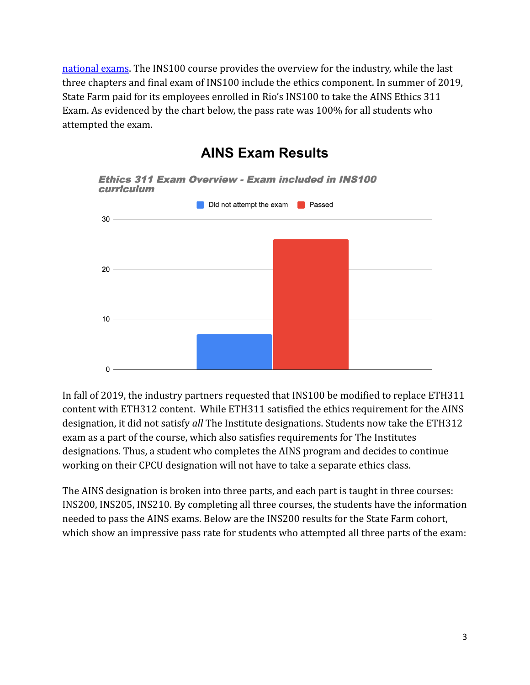[national exams](https://web.theinstitutes.org/exam-information). The INS100 course provides the overview for the industry, while the last three chapters and final exam of INS100 include the ethics component. In summer of 2019, State Farm paid for its employees enrolled in Rio's INS100 to take the AINS Ethics 311 Exam. As evidenced by the chart below, the pass rate was 100% for all students who attempted the exam.



**AINS Exam Results**

In fall of 2019, the industry partners requested that INS100 be modified to replace ETH311 content with ETH312 content. While ETH311 satisfied the ethics requirement for the AINS designation, it did not satisfy *all* The Institute designations. Students now take the ETH312 exam as a part of the course, which also satisfies requirements for The Institutes designations. Thus, a student who completes the AINS program and decides to continue working on their CPCU designation will not have to take a separate ethics class.

The AINS designation is broken into three parts, and each part is taught in three courses: INS200, INS205, INS210. By completing all three courses, the students have the information needed to pass the AINS exams. Below are the INS200 results for the State Farm cohort, which show an impressive pass rate for students who attempted all three parts of the exam: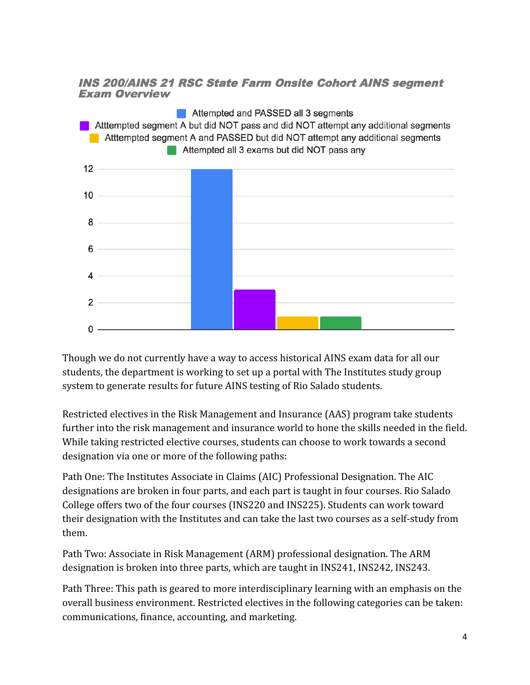#### **INS 200/AINS 21 RSC State Farm Onsite Cohort AINS segment Exam Overview**



Though we do not currently have a way to access historical AINS exam data for all our students, the department is working to set up a portal with The Institutes study group system to generate results for future AINS testing of Rio Salado students.

Restricted electives in the Risk Management and Insurance (AAS) program take students further into the risk management and insurance world to hone the skills needed in the field. While taking restricted elective courses, students can choose to work towards a second designation via one or more of the following paths:

Path One: The Institutes Associate in Claims (AIC) Professional Designation. The AIC designations are broken in four parts, and each part is taught in four courses. Rio Salado College offers two of the four courses (INS220 and INS225). Students can work toward their designation with the Institutes and can take the last two courses as a self-study from them.

Path Two: Associate in Risk Management (ARM) professional designation. The ARM designation is broken into three parts, which are taught in INS241, INS242, INS243.

Path Three: This path is geared to more interdisciplinary learning with an emphasis on the overall business environment. Restricted electives in the following categories can be taken: communications, finance, accounting, and marketing.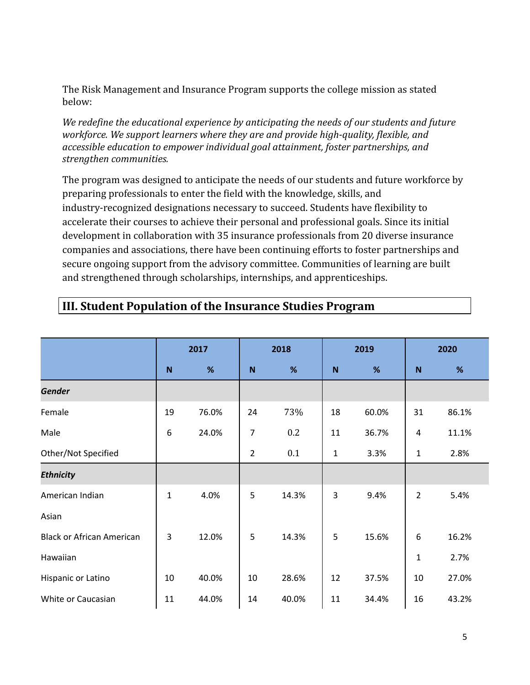The Risk Management and Insurance Program supports the college mission as stated below:

*We redefine the educational experience by anticipating the needs of our students and future workforce. We support learners where they are and provide high-quality, flexible, and accessible education to empower individual goal attainment, foster partnerships, and strengthen communities.*

The program was designed to anticipate the needs of our students and future workforce by preparing professionals to enter the field with the knowledge, skills, and industry-recognized designations necessary to succeed. Students have flexibility to accelerate their courses to achieve their personal and professional goals. Since its initial development in collaboration with 35 insurance professionals from 20 diverse insurance companies and associations, there have been continuing efforts to foster partnerships and secure ongoing support from the advisory committee. Communities of learning are built and strengthened through scholarships, internships, and apprenticeships.

|                                  | 2017           |       | 2018           |       | 2019 |       | 2020           |       |
|----------------------------------|----------------|-------|----------------|-------|------|-------|----------------|-------|
|                                  | N              | %     | $\mathbf N$    | %     | N    | %     | N              | %     |
| <b>Gender</b>                    |                |       |                |       |      |       |                |       |
| Female                           | 19             | 76.0% | 24             | 73%   | 18   | 60.0% | 31             | 86.1% |
| Male                             | 6              | 24.0% | 7              | 0.2   | 11   | 36.7% | 4              | 11.1% |
| Other/Not Specified              |                |       | $\overline{2}$ | 0.1   | 1    | 3.3%  | $\mathbf{1}$   | 2.8%  |
| <b>Ethnicity</b>                 |                |       |                |       |      |       |                |       |
| American Indian                  | $\mathbf{1}$   | 4.0%  | 5              | 14.3% | 3    | 9.4%  | $\overline{2}$ | 5.4%  |
| Asian                            |                |       |                |       |      |       |                |       |
| <b>Black or African American</b> | $\overline{3}$ | 12.0% | 5              | 14.3% | 5    | 15.6% | 6              | 16.2% |
| Hawaiian                         |                |       |                |       |      |       | $\mathbf{1}$   | 2.7%  |
| Hispanic or Latino               | 10             | 40.0% | 10             | 28.6% | 12   | 37.5% | 10             | 27.0% |
| White or Caucasian               | 11             | 44.0% | 14             | 40.0% | 11   | 34.4% | 16             | 43.2% |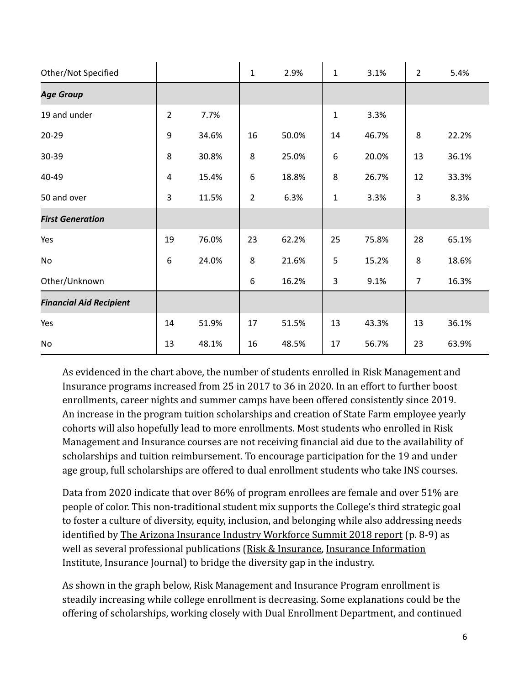| Other/Not Specified            |                         |       | $\mathbf{1}$   | 2.9%  | $\mathbf{1}$ | 3.1%  | $\overline{2}$ | 5.4%  |
|--------------------------------|-------------------------|-------|----------------|-------|--------------|-------|----------------|-------|
| <b>Age Group</b>               |                         |       |                |       |              |       |                |       |
| 19 and under                   | $\overline{2}$          | 7.7%  |                |       | $\mathbf{1}$ | 3.3%  |                |       |
| $20 - 29$                      | 9                       | 34.6% | 16             | 50.0% | 14           | 46.7% | 8              | 22.2% |
| 30-39                          | 8                       | 30.8% | 8              | 25.0% | 6            | 20.0% | 13             | 36.1% |
| 40-49                          | $\overline{\mathbf{4}}$ | 15.4% | 6              | 18.8% | 8            | 26.7% | 12             | 33.3% |
| 50 and over                    | 3                       | 11.5% | $\overline{2}$ | 6.3%  | $\mathbf{1}$ | 3.3%  | 3              | 8.3%  |
| <b>First Generation</b>        |                         |       |                |       |              |       |                |       |
| Yes                            | 19                      | 76.0% | 23             | 62.2% | 25           | 75.8% | 28             | 65.1% |
| No                             | 6                       | 24.0% | 8              | 21.6% | 5            | 15.2% | 8              | 18.6% |
| Other/Unknown                  |                         |       | 6              | 16.2% | 3            | 9.1%  | $\overline{7}$ | 16.3% |
| <b>Financial Aid Recipient</b> |                         |       |                |       |              |       |                |       |
|                                |                         |       |                |       |              |       |                |       |
| Yes                            | 14                      | 51.9% | 17             | 51.5% | 13           | 43.3% | 13             | 36.1% |

As evidenced in the chart above, the number of students enrolled in Risk Management and Insurance programs increased from 25 in 2017 to 36 in 2020. In an effort to further boost enrollments, career nights and summer camps have been offered consistently since 2019. An increase in the program tuition scholarships and creation of State Farm employee yearly cohorts will also hopefully lead to more enrollments. Most students who enrolled in Risk Management and Insurance courses are not receiving financial aid due to the availability of scholarships and tuition reimbursement. To encourage participation for the 19 and under age group, full scholarships are offered to dual enrollment students who take INS courses.

Data from 2020 indicate that over 86% of program enrollees are female and over 51% are people of color. This non-traditional student mix supports the College's third strategic goal to foster a culture of diversity, equity, inclusion, and belonging while also addressing needs identified by [The Arizona Insurance Industry Workforce](https://drive.google.com/file/d/1qdhs7qyS7eAkTnrZ4Bc1uYjgnKCjZOhh/view?usp=sharing) Summit 2018 report (p. 8-9) as well as several professional publications (Risk & [Insurance,](https://riskandinsurance.com/addressing-diversity-and-inclusion-in-insurance/) [Insurance Information](https://www.iii.org/article/diversity-and-inclusion-in-the-insurance-industry) [Institute,](https://www.iii.org/article/diversity-and-inclusion-in-the-insurance-industry) [Insurance Journal\)](https://www.insurancejournal.com/news/national/2021/01/15/597417.htm) to bridge the diversity gap in the industry.

As shown in the graph below, Risk Management and Insurance Program enrollment is steadily increasing while college enrollment is decreasing. Some explanations could be the offering of scholarships, working closely with Dual Enrollment Department, and continued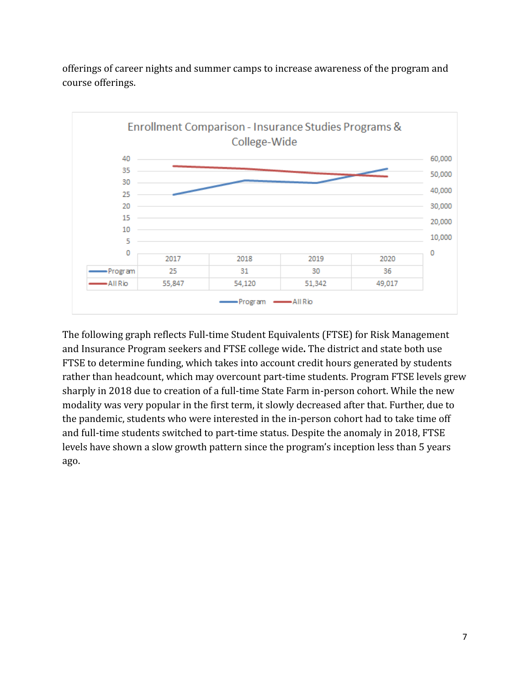![](_page_6_Figure_0.jpeg)

offerings of career nights and summer camps to increase awareness of the program and course offerings.

The following graph reflects Full-time Student Equivalents (FTSE) for Risk Management and Insurance Program seekers and FTSE college wide**.** The district and state both use FTSE to determine funding, which takes into account credit hours generated by students rather than headcount, which may overcount part-time students. Program FTSE levels grew sharply in 2018 due to creation of a full-time State Farm in-person cohort. While the new modality was very popular in the first term, it slowly decreased after that. Further, due to the pandemic, students who were interested in the in-person cohort had to take time off and full-time students switched to part-time status. Despite the anomaly in 2018, FTSE levels have shown a slow growth pattern since the program's inception less than 5 years ago.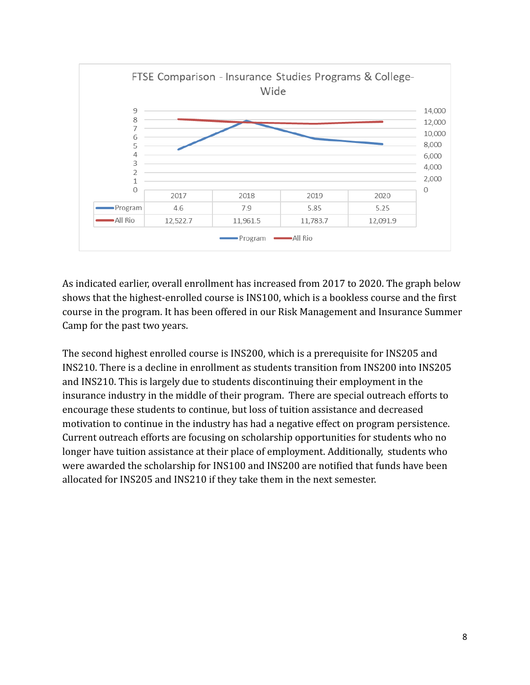![](_page_7_Figure_0.jpeg)

As indicated earlier, overall enrollment has increased from 2017 to 2020. The graph below shows that the highest-enrolled course is INS100, which is a bookless course and the first course in the program. It has been offered in our Risk Management and Insurance Summer Camp for the past two years.

The second highest enrolled course is INS200, which is a prerequisite for INS205 and INS210. There is a decline in enrollment as students transition from INS200 into INS205 and INS210. This is largely due to students discontinuing their employment in the insurance industry in the middle of their program. There are special outreach efforts to encourage these students to continue, but loss of tuition assistance and decreased motivation to continue in the industry has had a negative effect on program persistence. Current outreach efforts are focusing on scholarship opportunities for students who no longer have tuition assistance at their place of employment. Additionally, students who were awarded the scholarship for INS100 and INS200 are notified that funds have been allocated for INS205 and INS210 if they take them in the next semester.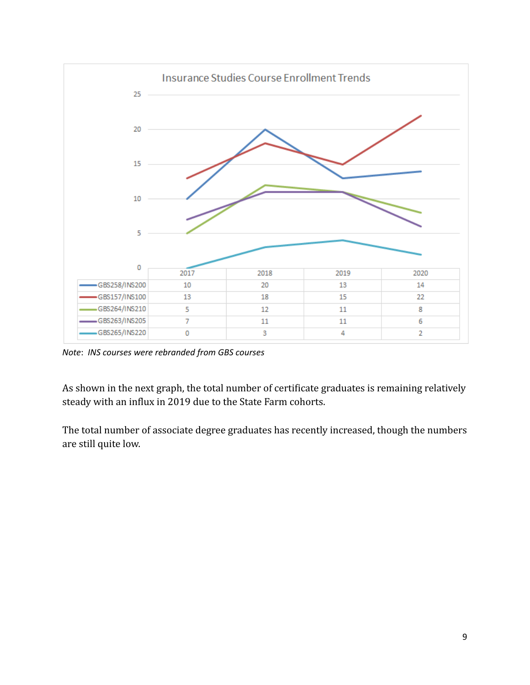![](_page_8_Figure_0.jpeg)

*Note*: *INS courses were rebranded from GBS courses*

As shown in the next graph, the total number of certificate graduates is remaining relatively steady with an influx in 2019 due to the State Farm cohorts.

The total number of associate degree graduates has recently increased, though the numbers are still quite low.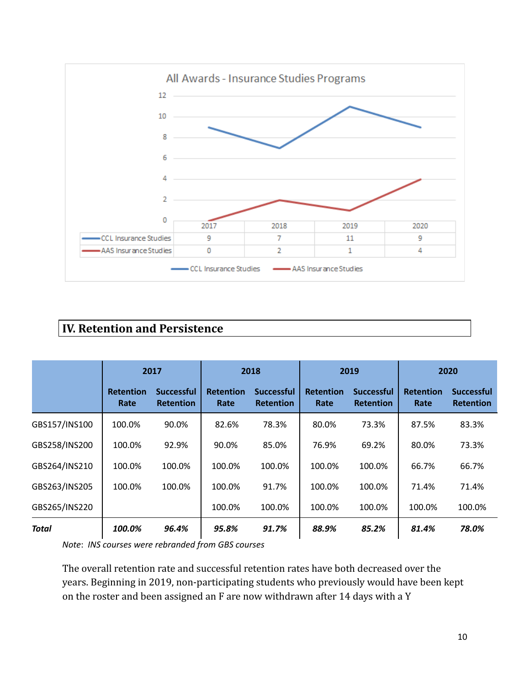![](_page_9_Figure_0.jpeg)

## **IV. Retention and Persistence**

|               | 2017                     |                                       | 2018                     |                                       | 2019                     |                                       | 2020                     |                                       |
|---------------|--------------------------|---------------------------------------|--------------------------|---------------------------------------|--------------------------|---------------------------------------|--------------------------|---------------------------------------|
|               | <b>Retention</b><br>Rate | <b>Successful</b><br><b>Retention</b> | <b>Retention</b><br>Rate | <b>Successful</b><br><b>Retention</b> | <b>Retention</b><br>Rate | <b>Successful</b><br><b>Retention</b> | <b>Retention</b><br>Rate | <b>Successful</b><br><b>Retention</b> |
| GBS157/INS100 | 100.0%                   | 90.0%                                 | 82.6%                    | 78.3%                                 | 80.0%                    | 73.3%                                 | 87.5%                    | 83.3%                                 |
| GBS258/INS200 | 100.0%                   | 92.9%                                 | 90.0%                    | 85.0%                                 | 76.9%                    | 69.2%                                 | 80.0%                    | 73.3%                                 |
| GBS264/INS210 | 100.0%                   | 100.0%                                | 100.0%                   | 100.0%                                | 100.0%                   | 100.0%                                | 66.7%                    | 66.7%                                 |
| GBS263/INS205 | 100.0%                   | 100.0%                                | 100.0%                   | 91.7%                                 | 100.0%                   | 100.0%                                | 71.4%                    | 71.4%                                 |
| GBS265/INS220 |                          |                                       | 100.0%                   | 100.0%                                | 100.0%                   | 100.0%                                | 100.0%                   | 100.0%                                |
| <b>Total</b>  | 100.0%                   | 96.4%                                 | 95.8%                    | 91.7%                                 | 88.9%                    | 85.2%                                 | 81.4%                    | 78.0%                                 |

*Note*: *INS courses were rebranded from GBS courses*

The overall retention rate and successful retention rates have both decreased over the years. Beginning in 2019, non-participating students who previously would have been kept on the roster and been assigned an F are now withdrawn after 14 days with a Y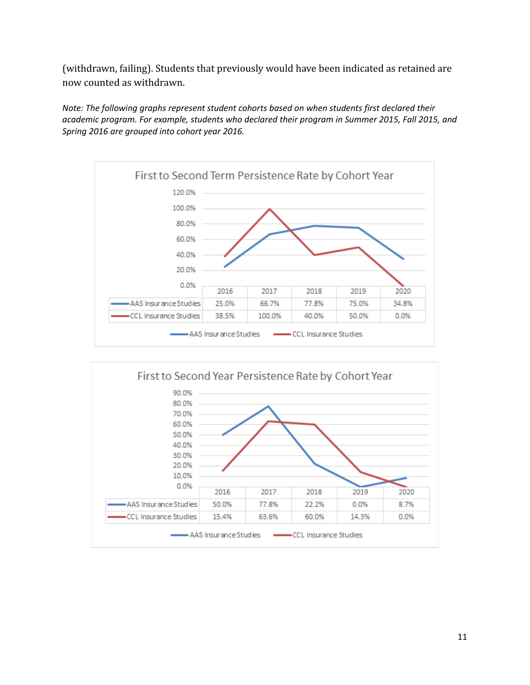(withdrawn, failing). Students that previously would have been indicated as retained are now counted as withdrawn.

*Note: The following graphs represent student cohorts based on when students first declared their academic program. For example, students who declared their program in Summer 2015, Fall 2015, and Spring 2016 are grouped into cohort year 2016.*

![](_page_10_Figure_2.jpeg)

![](_page_10_Figure_3.jpeg)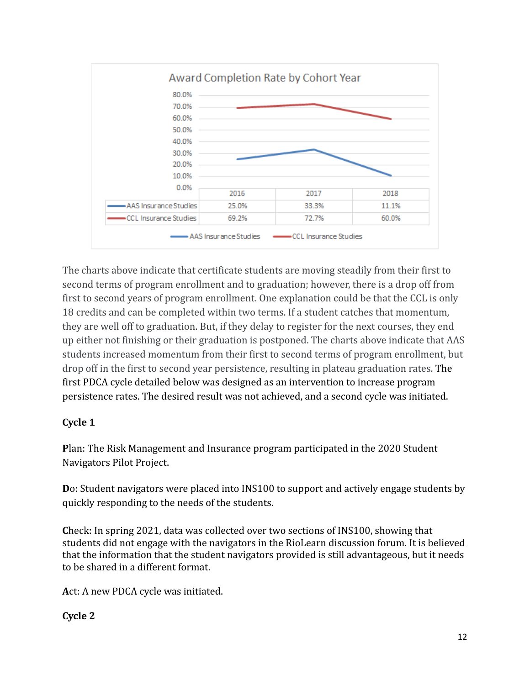![](_page_11_Figure_0.jpeg)

The charts above indicate that certificate students are moving steadily from their first to second terms of program enrollment and to graduation; however, there is a drop off from first to second years of program enrollment. One explanation could be that the CCL is only 18 credits and can be completed within two terms. If a student catches that momentum, they are well off to graduation. But, if they delay to register for the next courses, they end up either not finishing or their graduation is postponed. The charts above indicate that AAS students increased momentum from their first to second terms of program enrollment, but drop off in the first to second year persistence, resulting in plateau graduation rates. The first PDCA cycle detailed below was designed as an intervention to increase program persistence rates. The desired result was not achieved, and a second cycle was initiated.

### **Cycle 1**

**P**lan: The Risk Management and Insurance program participated in the 2020 Student Navigators Pilot Project.

**D**o: Student navigators were placed into INS100 to support and actively engage students by quickly responding to the needs of the students.

**C**heck: In spring 2021, data was collected over two sections of INS100, showing that students did not engage with the navigators in the RioLearn discussion forum. It is believed that the information that the student navigators provided is still advantageous, but it needs to be shared in a different format.

**A**ct: A new PDCA cycle was initiated.

### **Cycle 2**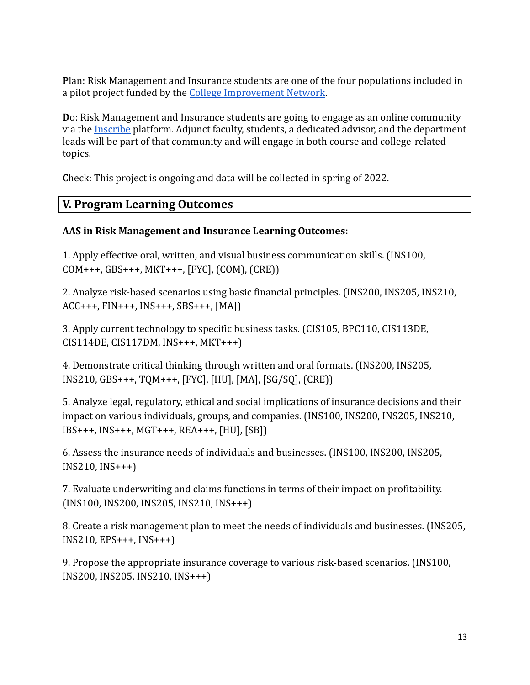**P**lan: Risk Management and Insurance students are one of the four populations included in a pilot project funded by the [College Improvement](https://www.wgu.edu/newsroom/press-release/2020/08/college-innovation-network-announces-founding-members.html) Network.

**D**o: Risk Management and Insurance students are going to engage as an online community via the [Inscribe](https://www.inscribeapp.com/) platform. Adjunct faculty, students, a dedicated advisor, and the department leads will be part of that community and will engage in both course and college-related topics.

**C**heck: This project is ongoing and data will be collected in spring of 2022.

## **V. Program Learning Outcomes**

### **AAS in Risk Management and Insurance Learning Outcomes:**

1. Apply effective oral, written, and visual business communication skills. (INS100, COM+++, GBS+++, MKT+++, [FYC], (COM), (CRE))

2. Analyze risk-based scenarios using basic financial principles. (INS200, INS205, INS210, ACC+++, FIN+++, INS+++, SBS+++, [MA])

3. Apply current technology to specific business tasks. (CIS105, BPC110, CIS113DE, CIS114DE, CIS117DM, INS+++, MKT+++)

4. Demonstrate critical thinking through written and oral formats. (INS200, INS205, INS210, GBS+++, TQM+++, [FYC], [HU], [MA], [SG/SQ], (CRE))

5. Analyze legal, regulatory, ethical and social implications of insurance decisions and their impact on various individuals, groups, and companies. (INS100, INS200, INS205, INS210, IBS+++, INS+++, MGT+++, REA+++, [HU], [SB])

6. Assess the insurance needs of individuals and businesses. (INS100, INS200, INS205, INS210, INS+++)

7. Evaluate underwriting and claims functions in terms of their impact on profitability. (INS100, INS200, INS205, INS210, INS+++)

8. Create a risk management plan to meet the needs of individuals and businesses. (INS205, INS210, EPS+++, INS+++)

9. Propose the appropriate insurance coverage to various risk-based scenarios. (INS100, INS200, INS205, INS210, INS+++)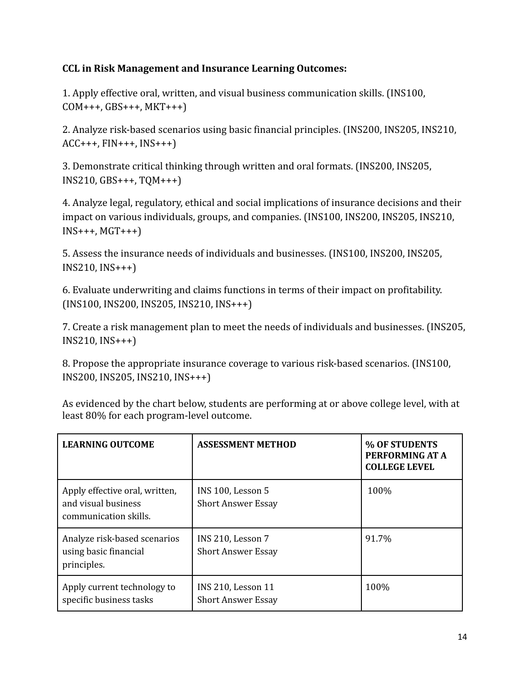### **CCL in Risk Management and Insurance Learning Outcomes:**

1. Apply effective oral, written, and visual business communication skills. (INS100,  $COM+++$ ,  $GBS+++$ ,  $MKT+++)$ 

2. Analyze risk-based scenarios using basic financial principles. (INS200, INS205, INS210, ACC+++, FIN+++, INS+++)

3. Demonstrate critical thinking through written and oral formats. (INS200, INS205, INS210, GBS+++, TQM+++)

4. Analyze legal, regulatory, ethical and social implications of insurance decisions and their impact on various individuals, groups, and companies. (INS100, INS200, INS205, INS210,  $INS+++$ ,  $MGT+++)$ 

5. Assess the insurance needs of individuals and businesses. (INS100, INS200, INS205, INS210, INS+++)

6. Evaluate underwriting and claims functions in terms of their impact on profitability. (INS100, INS200, INS205, INS210, INS+++)

7. Create a risk management plan to meet the needs of individuals and businesses. (INS205, INS210, INS+++)

8. Propose the appropriate insurance coverage to various risk-based scenarios. (INS100, INS200, INS205, INS210, INS+++)

| <b>LEARNING OUTCOME</b>                                                        | <b>ASSESSMENT METHOD</b>                               | % OF STUDENTS<br>PERFORMING AT A<br><b>COLLEGE LEVEL</b> |
|--------------------------------------------------------------------------------|--------------------------------------------------------|----------------------------------------------------------|
| Apply effective oral, written,<br>and visual business<br>communication skills. | INS 100, Lesson 5<br><b>Short Answer Essay</b>         | 100%                                                     |
| Analyze risk-based scenarios<br>using basic financial<br>principles.           | INS 210, Lesson 7<br><b>Short Answer Essay</b>         | 91.7%                                                    |
| Apply current technology to<br>specific business tasks                         | <b>INS 210, Lesson 11</b><br><b>Short Answer Essay</b> | 100%                                                     |

As evidenced by the chart below, students are performing at or above college level, with at least 80% for each program-level outcome.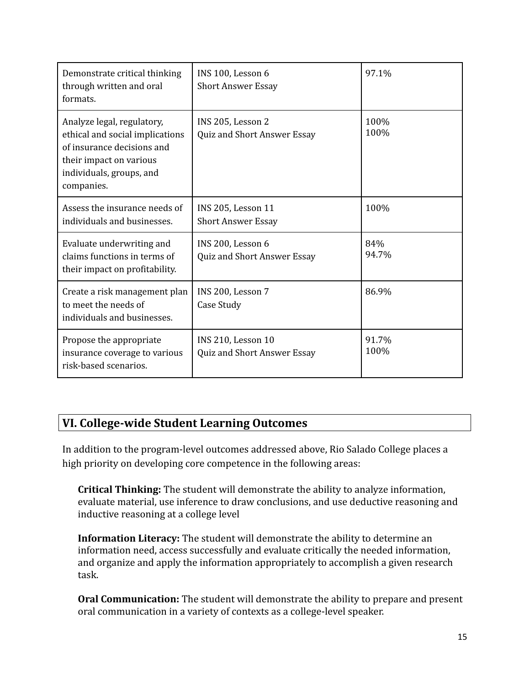| Demonstrate critical thinking<br>through written and oral<br>formats.                                                                                            | INS 100, Lesson 6<br><b>Short Answer Essay</b>           | 97.1%         |
|------------------------------------------------------------------------------------------------------------------------------------------------------------------|----------------------------------------------------------|---------------|
| Analyze legal, regulatory,<br>ethical and social implications<br>of insurance decisions and<br>their impact on various<br>individuals, groups, and<br>companies. | INS 205, Lesson 2<br>Quiz and Short Answer Essay         | 100%<br>100%  |
| Assess the insurance needs of<br>individuals and businesses.                                                                                                     | <b>INS 205, Lesson 11</b><br><b>Short Answer Essay</b>   | 100%          |
| Evaluate underwriting and<br>claims functions in terms of<br>their impact on profitability.                                                                      | INS 200, Lesson 6<br>Quiz and Short Answer Essay         | 84%<br>94.7%  |
| Create a risk management plan<br>to meet the needs of<br>individuals and businesses.                                                                             | INS 200, Lesson 7<br>Case Study                          | 86.9%         |
| Propose the appropriate<br>insurance coverage to various<br>risk-based scenarios.                                                                                | <b>INS 210, Lesson 10</b><br>Quiz and Short Answer Essay | 91.7%<br>100% |

## **VI. College-wide Student Learning Outcomes**

In addition to the program-level outcomes addressed above, Rio Salado College places a high priority on developing core competence in the following areas:

**Critical Thinking:** The student will demonstrate the ability to analyze information, evaluate material, use inference to draw conclusions, and use deductive reasoning and inductive reasoning at a college level

**Information Literacy:** The student will demonstrate the ability to determine an information need, access successfully and evaluate critically the needed information, and organize and apply the information appropriately to accomplish a given research task.

**Oral Communication:** The student will demonstrate the ability to prepare and present oral communication in a variety of contexts as a college-level speaker.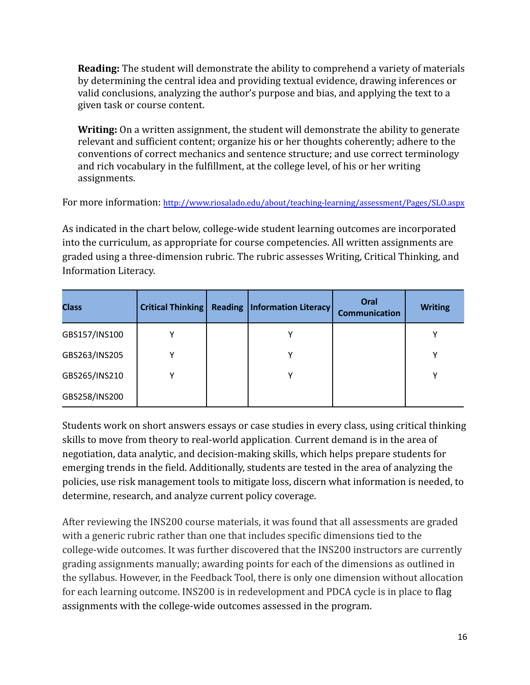**Reading:** The student will demonstrate the ability to comprehend a variety of materials by determining the central idea and providing textual evidence, drawing inferences or valid conclusions, analyzing the author's purpose and bias, and applying the text to a given task or course content.

**Writing:** On a written assignment, the student will demonstrate the ability to generate relevant and sufficient content; organize his or her thoughts coherently; adhere to the conventions of correct mechanics and sentence structure; and use correct terminology and rich vocabulary in the fulfillment, at the college level, of his or her writing assignments.

For more information: <http://www.riosalado.edu/about/teaching-learning/assessment/Pages/SLO.aspx>

As indicated in the chart below, college-wide student learning outcomes are incorporated into the curriculum, as appropriate for course competencies. All written assignments are graded using a three-dimension rubric. The rubric assesses Writing, Critical Thinking, and Information Literacy.

| <b>Class</b>  | Critical Thinking | <b>Reading</b> | <b>Information Literacy</b> | Oral<br><b>Communication</b> | <b>Writing</b> |
|---------------|-------------------|----------------|-----------------------------|------------------------------|----------------|
| GBS157/INS100 | Υ                 |                |                             |                              |                |
| GBS263/INS205 | ν                 |                | v                           |                              | v              |
| GBS265/INS210 | ν                 |                | v                           |                              | v              |
| GBS258/INS200 |                   |                |                             |                              |                |

Students work on short answers essays or case studies in every class, using critical thinking skills to move from theory to real-world application. Current demand is in the area of negotiation, data analytic, and decision-making skills, which helps prepare students for emerging trends in the field. Additionally, students are tested in the area of analyzing the policies, use risk management tools to mitigate loss, discern what information is needed, to determine, research, and analyze current policy coverage.

After reviewing the INS200 course materials, it was found that all assessments are graded with a generic rubric rather than one that includes specific dimensions tied to the college-wide outcomes. It was further discovered that the INS200 instructors are currently grading assignments manually; awarding points for each of the dimensions as outlined in the syllabus. However, in the Feedback Tool, there is only one dimension without allocation for each learning outcome. INS200 is in redevelopment and PDCA cycle is in place to flag assignments with the college-wide outcomes assessed in the program.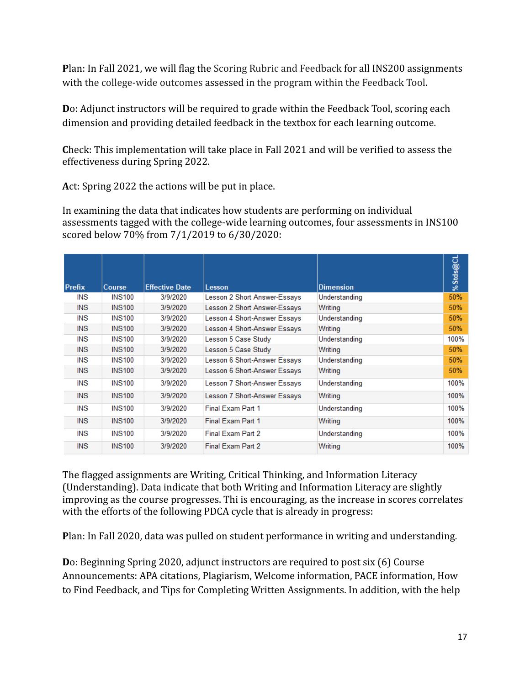**P**lan: In Fall 2021, we will flag the Scoring Rubric and Feedback for all INS200 assignments with the college-wide outcomes assessed in the program within the Feedback Tool.

**D**o: Adjunct instructors will be required to grade within the Feedback Tool, scoring each dimension and providing detailed feedback in the textbox for each learning outcome.

**C**heck: This implementation will take place in Fall 2021 and will be verified to assess the effectiveness during Spring 2022.

**A**ct: Spring 2022 the actions will be put in place.

In examining the data that indicates how students are performing on individual assessments tagged with the college-wide learning outcomes, four assessments in INS100 scored below 70% from 7/1/2019 to 6/30/2020:

| <b>Prefix</b> | Course        | <b>Effective Date</b> | <b>Lesson</b>                | <b>Dimension</b> | %Stds@CL |
|---------------|---------------|-----------------------|------------------------------|------------------|----------|
| INS           | <b>INS100</b> | 3/9/2020              | Lesson 2 Short Answer-Essays | Understanding    | 50%      |
| <b>INS</b>    | <b>INS100</b> | 3/9/2020              | Lesson 2 Short Answer-Essays | Writing          | 50%      |
| INS           | <b>INS100</b> | 3/9/2020              | Lesson 4 Short-Answer Essays | Understanding    | 50%      |
| INS.          | <b>INS100</b> | 3/9/2020              | Lesson 4 Short-Answer Essays | Writing          | 50%      |
| INS           | <b>INS100</b> | 3/9/2020              | Lesson 5 Case Study          | Understanding    | 100%     |
| <b>INS</b>    | <b>INS100</b> | 3/9/2020              | Lesson 5 Case Study          | Writing          | 50%      |
| <b>INS</b>    | <b>INS100</b> | 3/9/2020              | Lesson 6 Short-Answer Essays | Understanding    | 50%      |
| <b>INS</b>    | <b>INS100</b> | 3/9/2020              | Lesson 6 Short-Answer Essays | Writing          | 50%      |
| INS           | <b>INS100</b> | 3/9/2020              | Lesson 7 Short-Answer Essays | Understanding    | 100%     |
| <b>INS</b>    | <b>INS100</b> | 3/9/2020              | Lesson 7 Short-Answer Essays | Writing          | 100%     |
| INS           | <b>INS100</b> | 3/9/2020              | Final Exam Part 1            | Understanding    | 100%     |
| <b>INS</b>    | <b>INS100</b> | 3/9/2020              | Final Exam Part 1            | Writing          | 100%     |
| INS           | <b>INS100</b> | 3/9/2020              | Final Exam Part 2            | Understanding    | 100%     |
| <b>INS</b>    | <b>INS100</b> | 3/9/2020              | Final Exam Part 2            | Writing          | 100%     |

The flagged assignments are Writing, Critical Thinking, and Information Literacy (Understanding). Data indicate that both Writing and Information Literacy are slightly improving as the course progresses. Thi is encouraging, as the increase in scores correlates with the efforts of the following PDCA cycle that is already in progress:

**P**lan: In Fall 2020, data was pulled on student performance in writing and understanding.

**D**o: Beginning Spring 2020, adjunct instructors are required to post six (6) Course Announcements: APA citations, Plagiarism, Welcome information, PACE information, How to Find Feedback, and Tips for Completing Written Assignments. In addition, with the help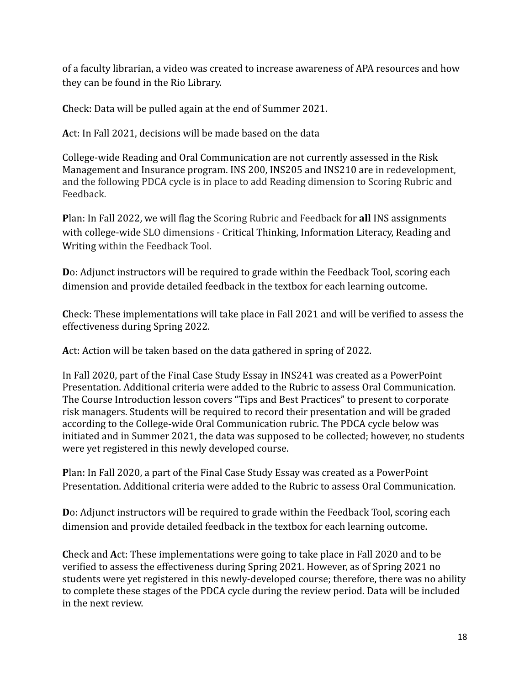of a faculty librarian, a video was created to increase awareness of APA resources and how they can be found in the Rio Library.

**C**heck: Data will be pulled again at the end of Summer 2021.

**A**ct: In Fall 2021, decisions will be made based on the data

College-wide Reading and Oral Communication are not currently assessed in the Risk Management and Insurance program. INS 200, INS205 and INS210 are in redevelopment, and the following PDCA cycle is in place to add Reading dimension to Scoring Rubric and Feedback.

**P**lan: In Fall 2022, we will flag the Scoring Rubric and Feedback for **all** INS assignments with college-wide SLO dimensions - Critical Thinking, Information Literacy, Reading and Writing within the Feedback Tool.

**D**o: Adjunct instructors will be required to grade within the Feedback Tool, scoring each dimension and provide detailed feedback in the textbox for each learning outcome.

**C**heck: These implementations will take place in Fall 2021 and will be verified to assess the effectiveness during Spring 2022.

**A**ct: Action will be taken based on the data gathered in spring of 2022.

In Fall 2020, part of the Final Case Study Essay in INS241 was created as a PowerPoint Presentation. Additional criteria were added to the Rubric to assess Oral Communication. The Course Introduction lesson covers "Tips and Best Practices" to present to corporate risk managers. Students will be required to record their presentation and will be graded according to the College-wide Oral Communication rubric. The PDCA cycle below was initiated and in Summer 2021, the data was supposed to be collected; however, no students were yet registered in this newly developed course.

**P**lan: In Fall 2020, a part of the Final Case Study Essay was created as a PowerPoint Presentation. Additional criteria were added to the Rubric to assess Oral Communication.

**D**o: Adjunct instructors will be required to grade within the Feedback Tool, scoring each dimension and provide detailed feedback in the textbox for each learning outcome.

**C**heck and **A**ct: These implementations were going to take place in Fall 2020 and to be verified to assess the effectiveness during Spring 2021. However, as of Spring 2021 no students were yet registered in this newly-developed course; therefore, there was no ability to complete these stages of the PDCA cycle during the review period. Data will be included in the next review.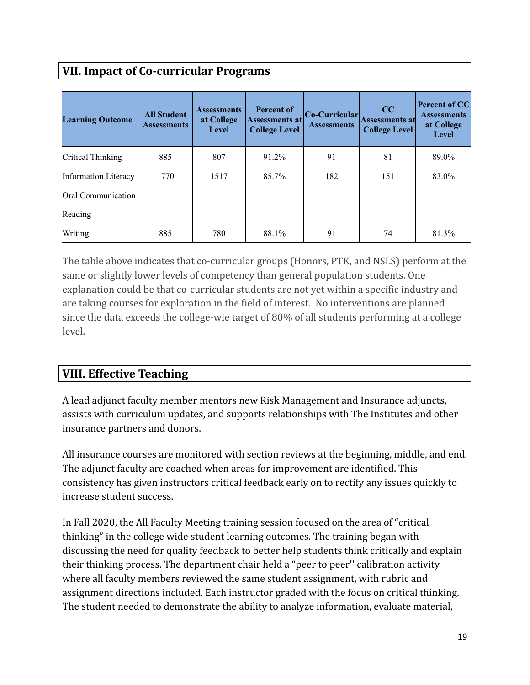# **VII. Impact of Co-curricular Programs**

| <b>Learning Outcome</b> | <b>All Student</b><br><b>Assessments</b> | <b>Assessments</b><br>at College<br>Level | <b>Percent of</b><br><b>Assessments at</b><br><b>College Level</b> | Co-Curricular<br><b>Assessments</b> | CC<br><b>Assessments at</b><br><b>College Level</b> | <b>Percent of CC</b><br><b>Assessments</b><br>at College<br>Level |
|-------------------------|------------------------------------------|-------------------------------------------|--------------------------------------------------------------------|-------------------------------------|-----------------------------------------------------|-------------------------------------------------------------------|
| Critical Thinking       | 885                                      | 807                                       | 91.2%                                                              | 91                                  | 81                                                  | 89.0%                                                             |
| Information Literacy    | 1770                                     | 1517                                      | 85.7%                                                              | 182                                 | 151                                                 | 83.0%                                                             |
| Oral Communication      |                                          |                                           |                                                                    |                                     |                                                     |                                                                   |
| Reading                 |                                          |                                           |                                                                    |                                     |                                                     |                                                                   |
| Writing                 | 885                                      | 780                                       | 88.1%                                                              | 91                                  | 74                                                  | 81.3%                                                             |

The table above indicates that co-curricular groups (Honors, PTK, and NSLS) perform at the same or slightly lower levels of competency than general population students. One explanation could be that co-curricular students are not yet within a specific industry and are taking courses for exploration in the field of interest. No interventions are planned since the data exceeds the college-wie target of 80% of all students performing at a college level.

## **VIII. Effective Teaching**

A lead adjunct faculty member mentors new Risk Management and Insurance adjuncts, assists with curriculum updates, and supports relationships with The Institutes and other insurance partners and donors.

All insurance courses are monitored with section reviews at the beginning, middle, and end. The adjunct faculty are coached when areas for improvement are identified. This consistency has given instructors critical feedback early on to rectify any issues quickly to increase student success.

In Fall 2020, the All Faculty Meeting training session focused on the area of "critical thinking" in the college wide student learning outcomes. The training began with discussing the need for quality feedback to better help students think critically and explain their thinking process. The department chair held a "peer to peer'' calibration activity where all faculty members reviewed the same student assignment, with rubric and assignment directions included. Each instructor graded with the focus on critical thinking. The student needed to demonstrate the ability to analyze information, evaluate material,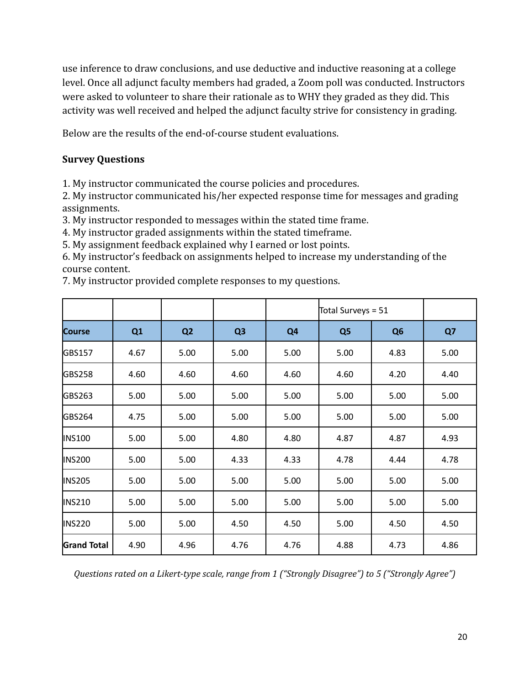use inference to draw conclusions, and use deductive and inductive reasoning at a college level. Once all adjunct faculty members had graded, a Zoom poll was conducted. Instructors were asked to volunteer to share their rationale as to WHY they graded as they did. This activity was well received and helped the adjunct faculty strive for consistency in grading.

Below are the results of the end-of-course student evaluations.

### **Survey Questions**

1. My instructor communicated the course policies and procedures.

2. My instructor communicated his/her expected response time for messages and grading assignments.

3. My instructor responded to messages within the stated time frame.

4. My instructor graded assignments within the stated timeframe.

5. My assignment feedback explained why I earned or lost points.

6. My instructor's feedback on assignments helped to increase my understanding of the course content.

7. My instructor provided complete responses to my questions.

|                    |      |                |                |                | Total Surveys = 51 |                |      |
|--------------------|------|----------------|----------------|----------------|--------------------|----------------|------|
| <b>Course</b>      | Q1   | Q <sub>2</sub> | Q <sub>3</sub> | Q <sub>4</sub> | Q <sub>5</sub>     | Q <sub>6</sub> | Q7   |
| GBS157             | 4.67 | 5.00           | 5.00           | 5.00           | 5.00               | 4.83           | 5.00 |
| GBS258             | 4.60 | 4.60           | 4.60           | 4.60           | 4.60               | 4.20           | 4.40 |
| GBS263             | 5.00 | 5.00           | 5.00           | 5.00           | 5.00               | 5.00           | 5.00 |
| GBS264             | 4.75 | 5.00           | 5.00           | 5.00           | 5.00               | 5.00           | 5.00 |
| <b>INS100</b>      | 5.00 | 5.00           | 4.80           | 4.80           | 4.87               | 4.87           | 4.93 |
| <b>INS200</b>      | 5.00 | 5.00           | 4.33           | 4.33           | 4.78               | 4.44           | 4.78 |
| <b>INS205</b>      | 5.00 | 5.00           | 5.00           | 5.00           | 5.00               | 5.00           | 5.00 |
| <b>INS210</b>      | 5.00 | 5.00           | 5.00           | 5.00           | 5.00               | 5.00           | 5.00 |
| <b>INS220</b>      | 5.00 | 5.00           | 4.50           | 4.50           | 5.00               | 4.50           | 4.50 |
| <b>Grand Total</b> | 4.90 | 4.96           | 4.76           | 4.76           | 4.88               | 4.73           | 4.86 |

*Questions rated on a Likert-type scale, range from 1 ("Strongly Disagree") to 5 ("Strongly Agree")*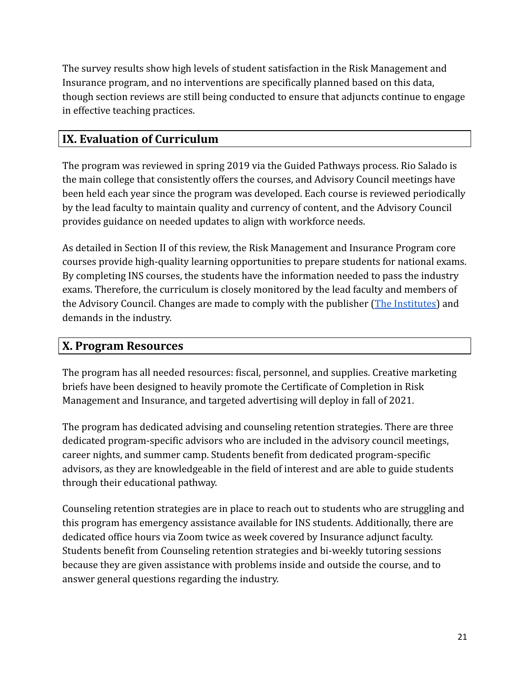The survey results show high levels of student satisfaction in the Risk Management and Insurance program, and no interventions are specifically planned based on this data, though section reviews are still being conducted to ensure that adjuncts continue to engage in effective teaching practices.

# **IX. Evaluation of Curriculum**

The program was reviewed in spring 2019 via the Guided Pathways process. Rio Salado is the main college that consistently offers the courses, and Advisory Council meetings have been held each year since the program was developed. Each course is reviewed periodically by the lead faculty to maintain quality and currency of content, and the Advisory Council provides guidance on needed updates to align with workforce needs.

As detailed in Section II of this review, the Risk Management and Insurance Program core courses provide high-quality learning opportunities to prepare students for national exams. By completing INS courses, the students have the information needed to pass the industry exams. Therefore, the curriculum is closely monitored by the lead faculty and members of the Advisory Council. Changes are made to comply with the publisher ([The Institutes](https://web.theinstitutes.org/)) and demands in the industry.

## **X. Program Resources**

The program has all needed resources: fiscal, personnel, and supplies. Creative marketing briefs have been designed to heavily promote the Certificate of Completion in Risk Management and Insurance, and targeted advertising will deploy in fall of 2021.

The program has dedicated advising and counseling retention strategies. There are three dedicated program-specific advisors who are included in the advisory council meetings, career nights, and summer camp. Students benefit from dedicated program-specific advisors, as they are knowledgeable in the field of interest and are able to guide students through their educational pathway.

Counseling retention strategies are in place to reach out to students who are struggling and this program has emergency assistance available for INS students. Additionally, there are dedicated office hours via Zoom twice as week covered by Insurance adjunct faculty. Students benefit from Counseling retention strategies and bi-weekly tutoring sessions because they are given assistance with problems inside and outside the course, and to answer general questions regarding the industry.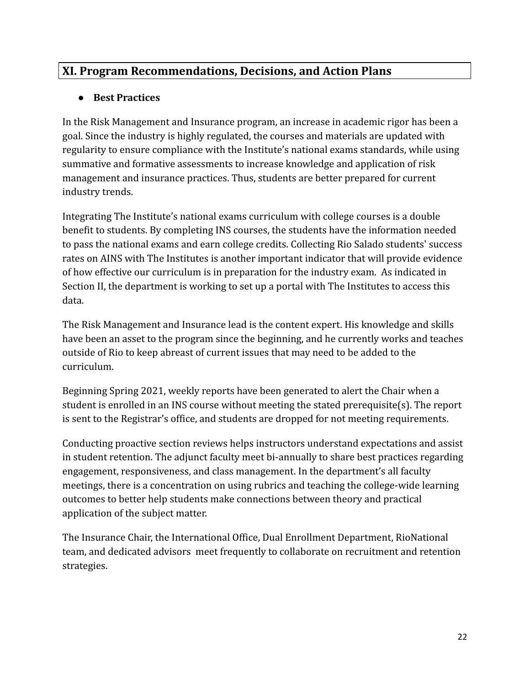## **XI. Program Recommendations, Decisions, and Action Plans**

### **● Best Practices**

In the Risk Management and Insurance program, an increase in academic rigor has been a goal. Since the industry is highly regulated, the courses and materials are updated with regularity to ensure compliance with the Institute's national exams standards, while using summative and formative assessments to increase knowledge and application of risk management and insurance practices. Thus, students are better prepared for current industry trends.

Integrating The Institute's national exams curriculum with college courses is a double benefit to students. By completing INS courses, the students have the information needed to pass the national exams and earn college credits. Collecting Rio Salado students' success rates on AINS with The Institutes is another important indicator that will provide evidence of how effective our curriculum is in preparation for the industry exam. As indicated in Section II, the department is working to set up a portal with The Institutes to access this data.

The Risk Management and Insurance lead is the content expert. His knowledge and skills have been an asset to the program since the beginning, and he currently works and teaches outside of Rio to keep abreast of current issues that may need to be added to the curriculum.

Beginning Spring 2021, weekly reports have been generated to alert the Chair when a student is enrolled in an INS course without meeting the stated prerequisite(s). The report is sent to the Registrar's office, and students are dropped for not meeting requirements.

Conducting proactive section reviews helps instructors understand expectations and assist in student retention. The adjunct faculty meet bi-annually to share best practices regarding engagement, responsiveness, and class management. In the department's all faculty meetings, there is a concentration on using rubrics and teaching the college-wide learning outcomes to better help students make connections between theory and practical application of the subject matter.

The Insurance Chair, the International Office, Dual Enrollment Department, RioNational team, and dedicated advisors meet frequently to collaborate on recruitment and retention strategies.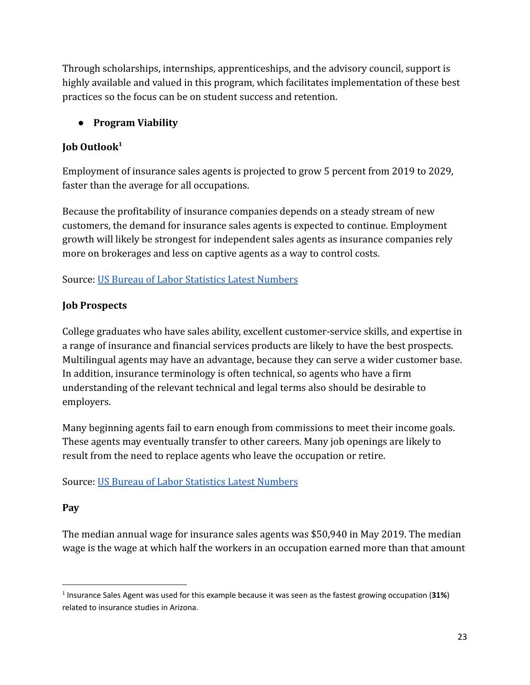Through scholarships, internships, apprenticeships, and the advisory council, support is highly available and valued in this program, which facilitates implementation of these best practices so the focus can be on student success and retention.

## **● Program Viability**

## **Job Outlook<sup>1</sup>**

Employment of insurance sales agents is projected to grow 5 percent from 2019 to 2029, faster than the average for all occupations.

Because the profitability of insurance companies depends on a steady stream of new customers, the demand for insurance sales agents is expected to continue. Employment growth will likely be strongest for independent sales agents as insurance companies rely more on brokerages and less on captive agents as a way to control costs.

Source: [US Bureau of Labor Statistics Latest Numbers](https://www.bls.gov)

### **Job Prospects**

College graduates who have sales ability, excellent customer-service skills, and expertise in a range of insurance and financial services products are likely to have the best prospects. Multilingual agents may have an advantage, because they can serve a wider customer base. In addition, insurance terminology is often technical, so agents who have a firm understanding of the relevant technical and legal terms also should be desirable to employers.

Many beginning agents fail to earn enough from commissions to meet their income goals. These agents may eventually transfer to other careers. Many job openings are likely to result from the need to replace agents who leave the occupation or retire.

### Source: [US Bureau of Labor Statistics Latest Numbers](https://www.bls.gov)

### **Pay**

The median annual wage for insurance sales agents was \$50,940 in May 2019. The median wage is the wage at which half the workers in an occupation earned more than that amount

<sup>1</sup> Insurance Sales Agent was used for this example because it was seen as the fastest growing occupation (**31%**) related to insurance studies in Arizona.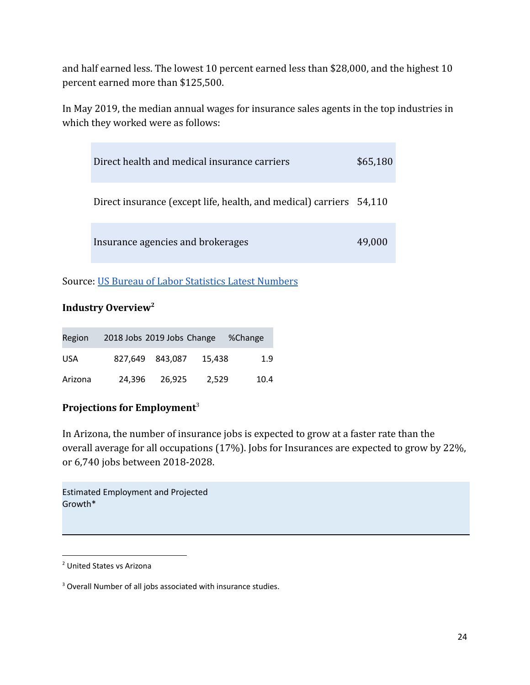and half earned less. The lowest 10 percent earned less than \$28,000, and the highest 10 percent earned more than \$125,500.

In May 2019, the median annual wages for insurance sales agents in the top industries in which they worked were as follows:

| Direct health and medical insurance carriers                        | \$65,180 |
|---------------------------------------------------------------------|----------|
| Direct insurance (except life, health, and medical) carriers 54,110 |          |
| Insurance agencies and brokerages                                   | 49.000   |

Source: [US Bureau of Labor Statistics Latest Numbers](https://www.bls.gov)

### **Industry Overview<sup>2</sup>**

| Region     | 2018 Jobs 2019 Jobs Change |                 |        | %Change |
|------------|----------------------------|-----------------|--------|---------|
| <b>USA</b> |                            | 827.649 843.087 | 15.438 | 1.9     |
| Arizona    | 24.396                     | 26.925          | 2,529  | 10.4    |

### **Projections for Employment**<sup>3</sup>

In Arizona, the number of insurance jobs is expected to grow at a faster rate than the overall average for all occupations (17%). Jobs for Insurances are expected to grow by 22%, or 6,740 jobs between 2018-2028.

Estimated Employment and Projected Growth\*

<sup>2</sup> United States vs Arizona

<sup>&</sup>lt;sup>3</sup> Overall Number of all jobs associated with insurance studies.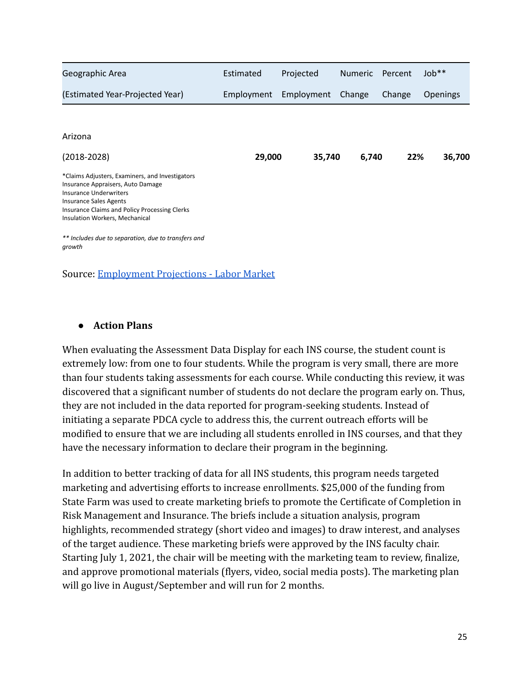| Geographic Area                                                                                                                                                                                                                           | Estimated  | Projected  | <b>Numeric</b> | Percent | Job <sup>**</sup> |
|-------------------------------------------------------------------------------------------------------------------------------------------------------------------------------------------------------------------------------------------|------------|------------|----------------|---------|-------------------|
| (Estimated Year-Projected Year)                                                                                                                                                                                                           | Employment | Employment | Change         | Change  | <b>Openings</b>   |
|                                                                                                                                                                                                                                           |            |            |                |         |                   |
| Arizona                                                                                                                                                                                                                                   |            |            |                |         |                   |
| $(2018 - 2028)$                                                                                                                                                                                                                           | 29,000     | 35,740     | 6,740          | 22%     | 36,700            |
| *Claims Adjusters, Examiners, and Investigators<br>Insurance Appraisers, Auto Damage<br><b>Insurance Underwriters</b><br><b>Insurance Sales Agents</b><br>Insurance Claims and Policy Processing Clerks<br>Insulation Workers, Mechanical |            |            |                |         |                   |
| ** Includes due to separation, due to transfers and<br>growth                                                                                                                                                                             |            |            |                |         |                   |

Source: [Employment Projections - Labor Market](https://www.azcommerce.com/oeo/labor-market/employment-projections/#content-block-1)

#### **● Action Plans**

When evaluating the Assessment Data Display for each INS course, the student count is extremely low: from one to four students. While the program is very small, there are more than four students taking assessments for each course. While conducting this review, it was discovered that a significant number of students do not declare the program early on. Thus, they are not included in the data reported for program-seeking students. Instead of initiating a separate PDCA cycle to address this, the current outreach efforts will be modified to ensure that we are including all students enrolled in INS courses, and that they have the necessary information to declare their program in the beginning.

In addition to better tracking of data for all INS students, this program needs targeted marketing and advertising efforts to increase enrollments. \$25,000 of the funding from State Farm was used to create marketing briefs to promote the Certificate of Completion in Risk Management and Insurance. The briefs include a situation analysis, program highlights, recommended strategy (short video and images) to draw interest, and analyses of the target audience. These marketing briefs were approved by the INS faculty chair. Starting July 1, 2021, the chair will be meeting with the marketing team to review, finalize, and approve promotional materials (flyers, video, social media posts). The marketing plan will go live in August/September and will run for 2 months.